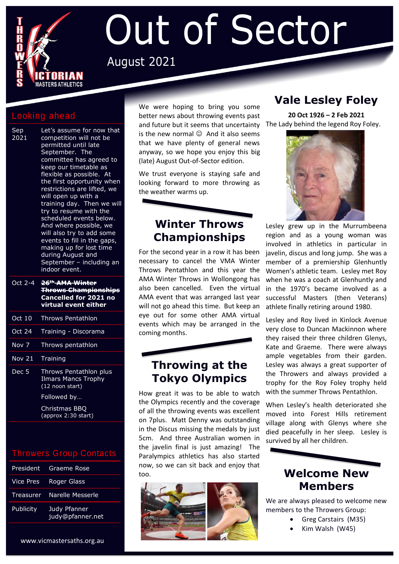

# Out of Sector August 2021

#### Looking ahead

- Sep 2021 Let's assume for now that competition will not be permitted until late September. The committee has agreed to keep our timetable as flexible as possible. At the first opportunity when restrictions are lifted, we will open up with a training day. Then we will try to resume with the scheduled events below. And where possible, we will also try to add some events to fill in the gaps, making up for lost time during August and September – including an indoor event.
- Oct 2-4 **26th AMA Winter Throws Championships Cancelled for 2021 no virtual event either** Oct 10 Throws Pentathlon Oct 24 Training - Discorama Nov 7 Throws pentathlon Nov 21 Training Dec 5 Throws Pentathlon plus Ilmars Mancs Trophy

(12 noon start) Followed by…

Christmas BBQ

(approx 2:30 start)

#### Throwers Group Contacts

|           | President Graeme Rose            |
|-----------|----------------------------------|
|           | Vice Pres Roger Glass            |
|           | Treasurer Narelle Messerle       |
| Publicity | Judy Pfanner<br>judy@pfanner.net |

We were hoping to bring you some better news about throwing events past and future but it seems that uncertainty is the new normal  $\odot$  And it also seems that we have plenty of general news anyway, so we hope you enjoy this big (late) August Out-of-Sector edition.

We trust everyone is staying safe and looking forward to more throwing as the weather warms up.

# **Winter Throws Championships**

For the second year in a row it has been necessary to cancel the VMA Winter Throws Pentathlon and this year the AMA Winter Throws in Wollongong has also been cancelled. Even the virtual AMA event that was arranged last year will not go ahead this time. But keep an eye out for some other AMA virtual events which may be arranged in the coming months.

# **Throwing at the Tokyo Olympics**

How great it was to be able to watch the Olympics recently and the coverage of all the throwing events was excellent on 7plus. Matt Denny was outstanding in the Discus missing the medals by just 5cm. And three Australian women in the javelin final is just amazing! The Paralympics athletics has also started now, so we can sit back and enjoy that too.



# **Vale Lesley Foley**

**20 Oct 1926 – 2 Feb 2021** The Lady behind the legend Roy Foley.



Lesley grew up in the Murrumbeena region and as a young woman was involved in athletics in particular in javelin, discus and long jump. She was a member of a premiership Glenhuntly Women's athletic team. Lesley met Roy when he was a coach at Glenhuntly and in the 1970's became involved as a successful Masters (then Veterans) athlete finally retiring around 1980.

Lesley and Roy lived in Kinlock Avenue very close to Duncan Mackinnon where they raised their three children Glenys, Kate and Graeme. There were always ample vegetables from their garden. Lesley was always a great supporter of the Throwers and always provided a trophy for the Roy Foley trophy held with the summer Throws Pentathlon.

When Lesley's health deteriorated she moved into Forest Hills retirement village along with Glenys where she died peacefully in her sleep. Lesley is survived by all her children.

# **Welcome New Members**

We are always pleased to welcome new members to the Throwers Group:

- Greg Carstairs (M35)
- Kim Walsh (W45)